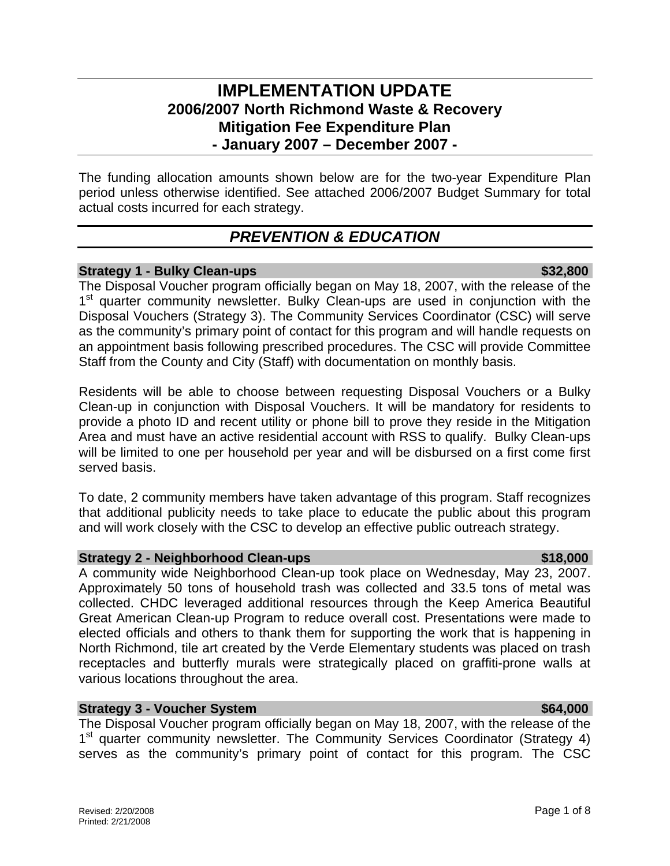# **IMPLEMENTATION UPDATE 2006/2007 North Richmond Waste & Recovery Mitigation Fee Expenditure Plan - January 2007 – December 2007 -**

The funding allocation amounts shown below are for the two-year Expenditure Plan period unless otherwise identified. See attached 2006/2007 Budget Summary for total actual costs incurred for each strategy.

# *PREVENTION & EDUCATION*

### **Strategy 1 - Bulky Clean-ups \$32,800 \$32,800 \$32,800**

The Disposal Voucher program officially began on May 18, 2007, with the release of the 1<sup>st</sup> quarter community newsletter. Bulky Clean-ups are used in conjunction with the Disposal Vouchers (Strategy 3). The Community Services Coordinator (CSC) will serve as the community's primary point of contact for this program and will handle requests on an appointment basis following prescribed procedures. The CSC will provide Committee Staff from the County and City (Staff) with documentation on monthly basis.

Residents will be able to choose between requesting Disposal Vouchers or a Bulky Clean-up in conjunction with Disposal Vouchers. It will be mandatory for residents to provide a photo ID and recent utility or phone bill to prove they reside in the Mitigation Area and must have an active residential account with RSS to qualify. Bulky Clean-ups will be limited to one per household per year and will be disbursed on a first come first served basis.

To date, 2 community members have taken advantage of this program. Staff recognizes that additional publicity needs to take place to educate the public about this program and will work closely with the CSC to develop an effective public outreach strategy.

## **Strategy 2 - Neighborhood Clean-ups <b>\$18,000 \$18,000**

A community wide Neighborhood Clean-up took place on Wednesday, May 23, 2007. Approximately 50 tons of household trash was collected and 33.5 tons of metal was collected. CHDC leveraged additional resources through the Keep America Beautiful Great American Clean-up Program to reduce overall cost. Presentations were made to elected officials and others to thank them for supporting the work that is happening in North Richmond, tile art created by the Verde Elementary students was placed on trash receptacles and butterfly murals were strategically placed on graffiti-prone walls at various locations throughout the area.

## **Strategy 3 - Voucher System**  $\bullet$  **8.64,000 <b>\$64,000**

The Disposal Voucher program officially began on May 18, 2007, with the release of the 1<sup>st</sup> quarter community newsletter. The Community Services Coordinator (Strategy 4) serves as the community's primary point of contact for this program. The CSC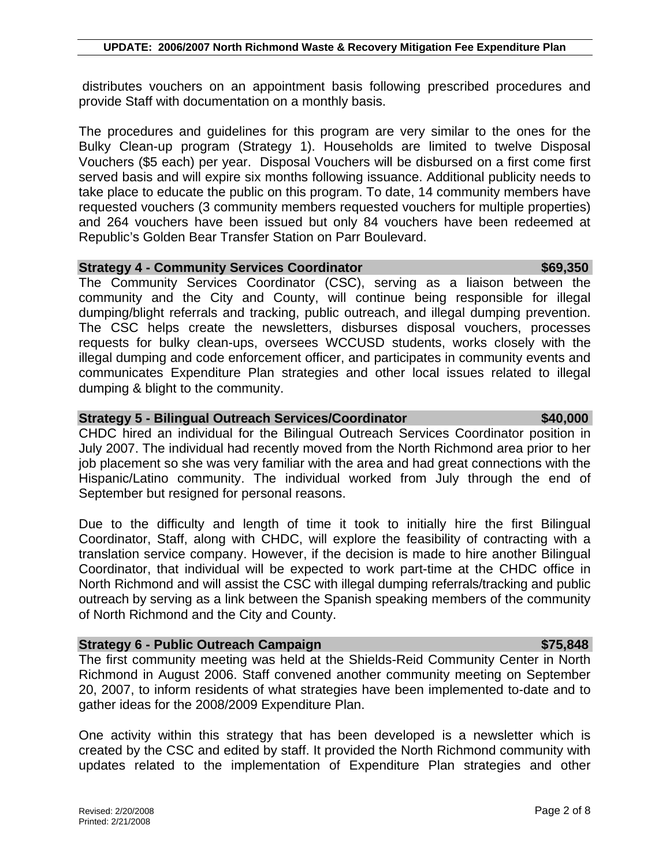distributes vouchers on an appointment basis following prescribed procedures and provide Staff with documentation on a monthly basis.

The procedures and guidelines for this program are very similar to the ones for the Bulky Clean-up program (Strategy 1). Households are limited to twelve Disposal Vouchers (\$5 each) per year. Disposal Vouchers will be disbursed on a first come first served basis and will expire six months following issuance. Additional publicity needs to take place to educate the public on this program. To date, 14 community members have requested vouchers (3 community members requested vouchers for multiple properties) and 264 vouchers have been issued but only 84 vouchers have been redeemed at Republic's Golden Bear Transfer Station on Parr Boulevard.

### **Strategy 4 - Community Services Coordinator \$69,350**

The Community Services Coordinator (CSC), serving as a liaison between the community and the City and County, will continue being responsible for illegal dumping/blight referrals and tracking, public outreach, and illegal dumping prevention. The CSC helps create the newsletters, disburses disposal vouchers, processes requests for bulky clean-ups, oversees WCCUSD students, works closely with the illegal dumping and code enforcement officer, and participates in community events and communicates Expenditure Plan strategies and other local issues related to illegal dumping & blight to the community.

### **Strategy 5 - Bilingual Outreach Services/Coordinator \$40,000**

CHDC hired an individual for the Bilingual Outreach Services Coordinator position in July 2007. The individual had recently moved from the North Richmond area prior to her job placement so she was very familiar with the area and had great connections with the Hispanic/Latino community. The individual worked from July through the end of September but resigned for personal reasons.

Due to the difficulty and length of time it took to initially hire the first Bilingual Coordinator, Staff, along with CHDC, will explore the feasibility of contracting with a translation service company. However, if the decision is made to hire another Bilingual Coordinator, that individual will be expected to work part-time at the CHDC office in North Richmond and will assist the CSC with illegal dumping referrals/tracking and public outreach by serving as a link between the Spanish speaking members of the community of North Richmond and the City and County.

### **Strategy 6 - Public Outreach Campaign**  $\frac{1}{2}$  **and**  $\frac{1}{2}$  **and**  $\frac{1}{2}$  **and**  $\frac{1}{2}$  **575,848**

The first community meeting was held at the Shields-Reid Community Center in North Richmond in August 2006. Staff convened another community meeting on September 20, 2007, to inform residents of what strategies have been implemented to-date and to gather ideas for the 2008/2009 Expenditure Plan.

One activity within this strategy that has been developed is a newsletter which is created by the CSC and edited by staff. It provided the North Richmond community with updates related to the implementation of Expenditure Plan strategies and other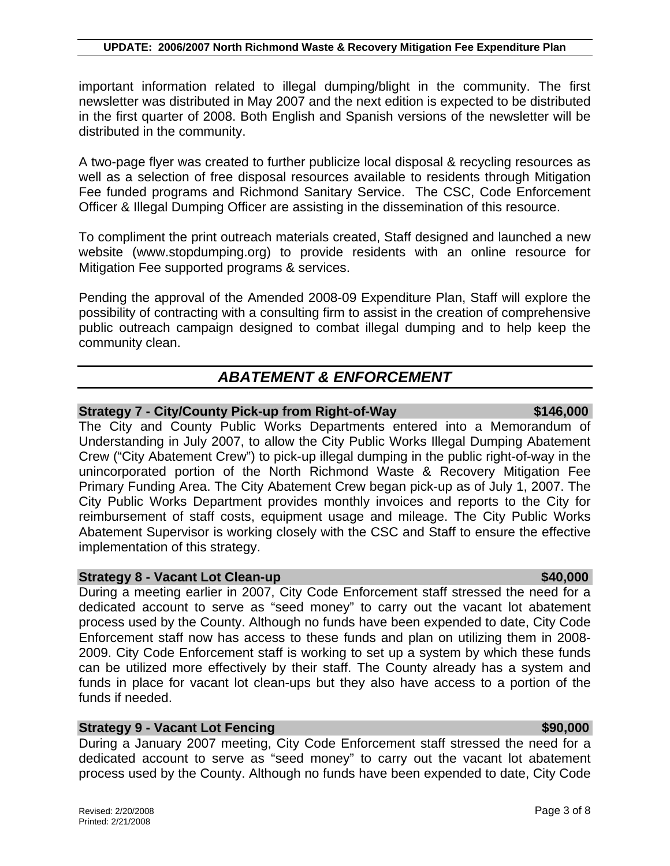important information related to illegal dumping/blight in the community. The first newsletter was distributed in May 2007 and the next edition is expected to be distributed in the first quarter of 2008. Both English and Spanish versions of the newsletter will be distributed in the community.

A two-page flyer was created to further publicize local disposal & recycling resources as well as a selection of free disposal resources available to residents through Mitigation Fee funded programs and Richmond Sanitary Service. The CSC, Code Enforcement Officer & Illegal Dumping Officer are assisting in the dissemination of this resource.

To compliment the print outreach materials created, Staff designed and launched a new website (www.stopdumping.org) to provide residents with an online resource for Mitigation Fee supported programs & services.

Pending the approval of the Amended 2008-09 Expenditure Plan, Staff will explore the possibility of contracting with a consulting firm to assist in the creation of comprehensive public outreach campaign designed to combat illegal dumping and to help keep the community clean.

# *ABATEMENT & ENFORCEMENT*

### **Strategy 7 - City/County Pick-up from Right-of-Way 6146,000 8146,000**

### The City and County Public Works Departments entered into a Memorandum of Understanding in July 2007, to allow the City Public Works Illegal Dumping Abatement Crew ("City Abatement Crew") to pick-up illegal dumping in the public right-of-way in the unincorporated portion of the North Richmond Waste & Recovery Mitigation Fee Primary Funding Area. The City Abatement Crew began pick-up as of July 1, 2007. The City Public Works Department provides monthly invoices and reports to the City for reimbursement of staff costs, equipment usage and mileage. The City Public Works Abatement Supervisor is working closely with the CSC and Staff to ensure the effective implementation of this strategy.

### **Strategy 8 - Vacant Lot Clean-up \$40,000 \$40,000 \$40,000**

During a meeting earlier in 2007, City Code Enforcement staff stressed the need for a dedicated account to serve as "seed money" to carry out the vacant lot abatement process used by the County. Although no funds have been expended to date, City Code Enforcement staff now has access to these funds and plan on utilizing them in 2008- 2009. City Code Enforcement staff is working to set up a system by which these funds can be utilized more effectively by their staff. The County already has a system and funds in place for vacant lot clean-ups but they also have access to a portion of the funds if needed.

## **Strategy 9 - Vacant Lot Fencing \$90,000 and \$90,000 \$90,000**

During a January 2007 meeting, City Code Enforcement staff stressed the need for a dedicated account to serve as "seed money" to carry out the vacant lot abatement process used by the County. Although no funds have been expended to date, City Code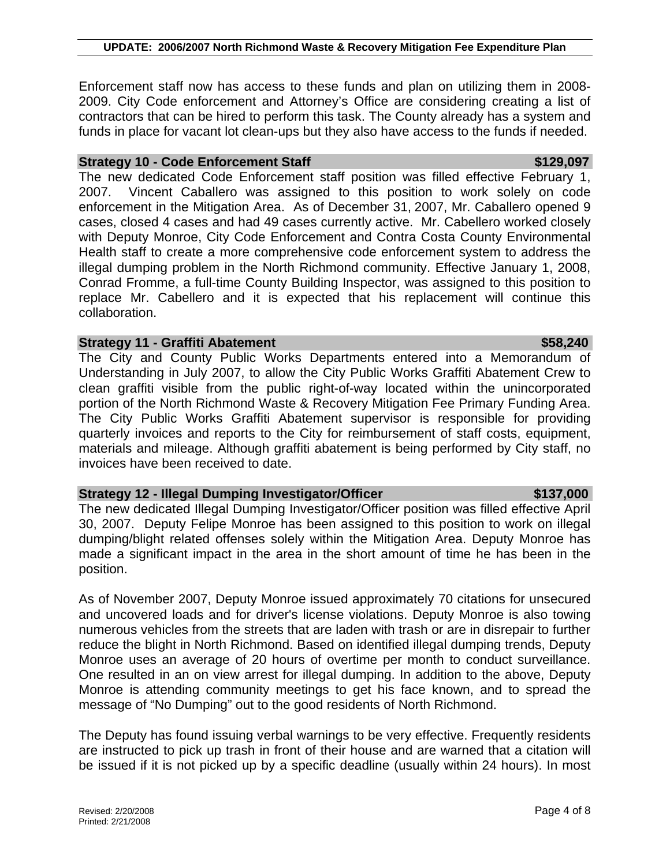Enforcement staff now has access to these funds and plan on utilizing them in 2008- 2009. City Code enforcement and Attorney's Office are considering creating a list of contractors that can be hired to perform this task. The County already has a system and funds in place for vacant lot clean-ups but they also have access to the funds if needed.

### **Strategy 10 - Code Enforcement Staff <b>\$129,097 \$129,097**

The new dedicated Code Enforcement staff position was filled effective February 1, 2007. Vincent Caballero was assigned to this position to work solely on code enforcement in the Mitigation Area. As of December 31, 2007, Mr. Caballero opened 9 cases, closed 4 cases and had 49 cases currently active. Mr. Cabellero worked closely with Deputy Monroe, City Code Enforcement and Contra Costa County Environmental Health staff to create a more comprehensive code enforcement system to address the illegal dumping problem in the North Richmond community. Effective January 1, 2008, Conrad Fromme, a full-time County Building Inspector, was assigned to this position to replace Mr. Cabellero and it is expected that his replacement will continue this collaboration.

### **Strategy 11 - Graffiti Abatement \$58,240**

The City and County Public Works Departments entered into a Memorandum of Understanding in July 2007, to allow the City Public Works Graffiti Abatement Crew to clean graffiti visible from the public right-of-way located within the unincorporated portion of the North Richmond Waste & Recovery Mitigation Fee Primary Funding Area. The City Public Works Graffiti Abatement supervisor is responsible for providing quarterly invoices and reports to the City for reimbursement of staff costs, equipment, materials and mileage. Although graffiti abatement is being performed by City staff, no invoices have been received to date.

### **Strategy 12 - Illegal Dumping Investigator/Officer \$137,000**

The new dedicated Illegal Dumping Investigator/Officer position was filled effective April 30, 2007. Deputy Felipe Monroe has been assigned to this position to work on illegal dumping/blight related offenses solely within the Mitigation Area. Deputy Monroe has made a significant impact in the area in the short amount of time he has been in the position.

As of November 2007, Deputy Monroe issued approximately 70 citations for unsecured and uncovered loads and for driver's license violations. Deputy Monroe is also towing numerous vehicles from the streets that are laden with trash or are in disrepair to further reduce the blight in North Richmond. Based on identified illegal dumping trends, Deputy Monroe uses an average of 20 hours of overtime per month to conduct surveillance. One resulted in an on view arrest for illegal dumping. In addition to the above, Deputy Monroe is attending community meetings to get his face known, and to spread the message of "No Dumping" out to the good residents of North Richmond.

The Deputy has found issuing verbal warnings to be very effective. Frequently residents are instructed to pick up trash in front of their house and are warned that a citation will be issued if it is not picked up by a specific deadline (usually within 24 hours). In most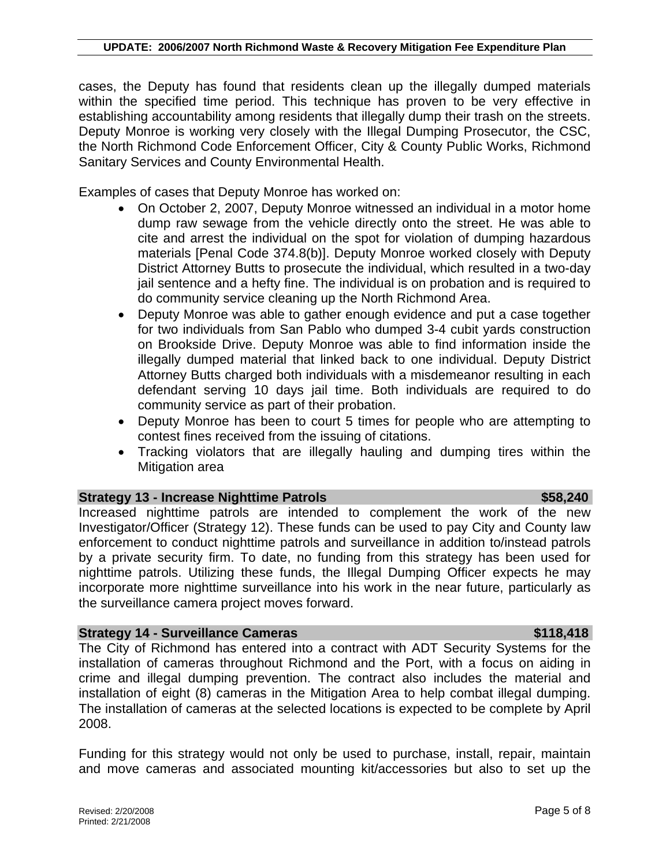cases, the Deputy has found that residents clean up the illegally dumped materials within the specified time period. This technique has proven to be very effective in establishing accountability among residents that illegally dump their trash on the streets. Deputy Monroe is working very closely with the Illegal Dumping Prosecutor, the CSC, the North Richmond Code Enforcement Officer, City & County Public Works, Richmond Sanitary Services and County Environmental Health.

Examples of cases that Deputy Monroe has worked on:

- On October 2, 2007, Deputy Monroe witnessed an individual in a motor home dump raw sewage from the vehicle directly onto the street. He was able to cite and arrest the individual on the spot for violation of dumping hazardous materials [Penal Code 374.8(b)]. Deputy Monroe worked closely with Deputy District Attorney Butts to prosecute the individual, which resulted in a two-day jail sentence and a hefty fine. The individual is on probation and is required to do community service cleaning up the North Richmond Area.
- Deputy Monroe was able to gather enough evidence and put a case together for two individuals from San Pablo who dumped 3-4 cubit yards construction on Brookside Drive. Deputy Monroe was able to find information inside the illegally dumped material that linked back to one individual. Deputy District Attorney Butts charged both individuals with a misdemeanor resulting in each defendant serving 10 days jail time. Both individuals are required to do community service as part of their probation.
- Deputy Monroe has been to court 5 times for people who are attempting to contest fines received from the issuing of citations.
- Tracking violators that are illegally hauling and dumping tires within the Mitigation area

### **Strategy 13 - Increase Nighttime Patrols <b>\$58,240 \$58,240**

Increased nighttime patrols are intended to complement the work of the new Investigator/Officer (Strategy 12). These funds can be used to pay City and County law enforcement to conduct nighttime patrols and surveillance in addition to/instead patrols by a private security firm. To date, no funding from this strategy has been used for nighttime patrols. Utilizing these funds, the Illegal Dumping Officer expects he may incorporate more nighttime surveillance into his work in the near future, particularly as the surveillance camera project moves forward.

### **Strategy 14 - Surveillance Cameras <b>\$118,418 \$118,418**

The City of Richmond has entered into a contract with ADT Security Systems for the installation of cameras throughout Richmond and the Port, with a focus on aiding in crime and illegal dumping prevention. The contract also includes the material and installation of eight (8) cameras in the Mitigation Area to help combat illegal dumping. The installation of cameras at the selected locations is expected to be complete by April 2008.

Funding for this strategy would not only be used to purchase, install, repair, maintain and move cameras and associated mounting kit/accessories but also to set up the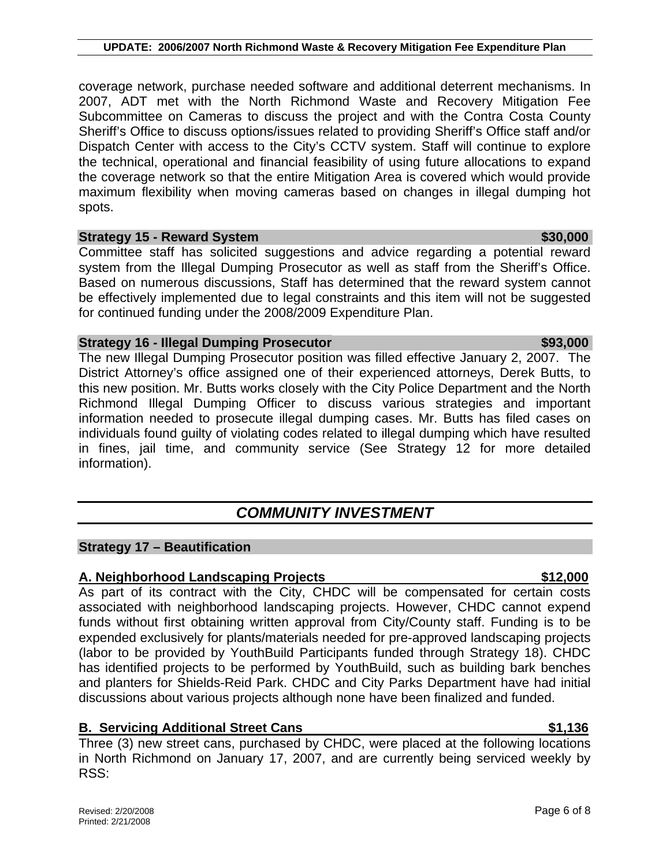coverage network, purchase needed software and additional deterrent mechanisms. In 2007, ADT met with the North Richmond Waste and Recovery Mitigation Fee Subcommittee on Cameras to discuss the project and with the Contra Costa County Sheriff's Office to discuss options/issues related to providing Sheriff's Office staff and/or Dispatch Center with access to the City's CCTV system. Staff will continue to explore the technical, operational and financial feasibility of using future allocations to expand the coverage network so that the entire Mitigation Area is covered which would provide maximum flexibility when moving cameras based on changes in illegal dumping hot spots.

# **Strategy 15 - Reward System**  $\sim$  **\$30,000**  $\sim$  **\$30,000**  $\sim$

Committee staff has solicited suggestions and advice regarding a potential reward system from the Illegal Dumping Prosecutor as well as staff from the Sheriff's Office. Based on numerous discussions, Staff has determined that the reward system cannot be effectively implemented due to legal constraints and this item will not be suggested for continued funding under the 2008/2009 Expenditure Plan.

# **Strategy 16 - Illegal Dumping Prosecutor <b>\$93,000 \$93,000**

The new Illegal Dumping Prosecutor position was filled effective January 2, 2007. The District Attorney's office assigned one of their experienced attorneys, Derek Butts, to this new position. Mr. Butts works closely with the City Police Department and the North Richmond Illegal Dumping Officer to discuss various strategies and important information needed to prosecute illegal dumping cases. Mr. Butts has filed cases on individuals found guilty of violating codes related to illegal dumping which have resulted in fines, jail time, and community service (See Strategy 12 for more detailed information).

# *COMMUNITY INVESTMENT*

# **Strategy 17 – Beautification**

# **A. Neighborhood Landscaping Projects \$12,000**

As part of its contract with the City, CHDC will be compensated for certain costs associated with neighborhood landscaping projects. However, CHDC cannot expend funds without first obtaining written approval from City/County staff. Funding is to be expended exclusively for plants/materials needed for pre-approved landscaping projects (labor to be provided by YouthBuild Participants funded through Strategy 18). CHDC has identified projects to be performed by YouthBuild, such as building bark benches and planters for Shields-Reid Park. CHDC and City Parks Department have had initial discussions about various projects although none have been finalized and funded.

# **B. Servicing Additional Street Cans 6. 2016 19:30 19:30 19:30 19:30 19:30 19:30 19:30 19:30 19:30 19:30 19:30**

Three (3) new street cans, purchased by CHDC, were placed at the following locations in North Richmond on January 17, 2007, and are currently being serviced weekly by RSS: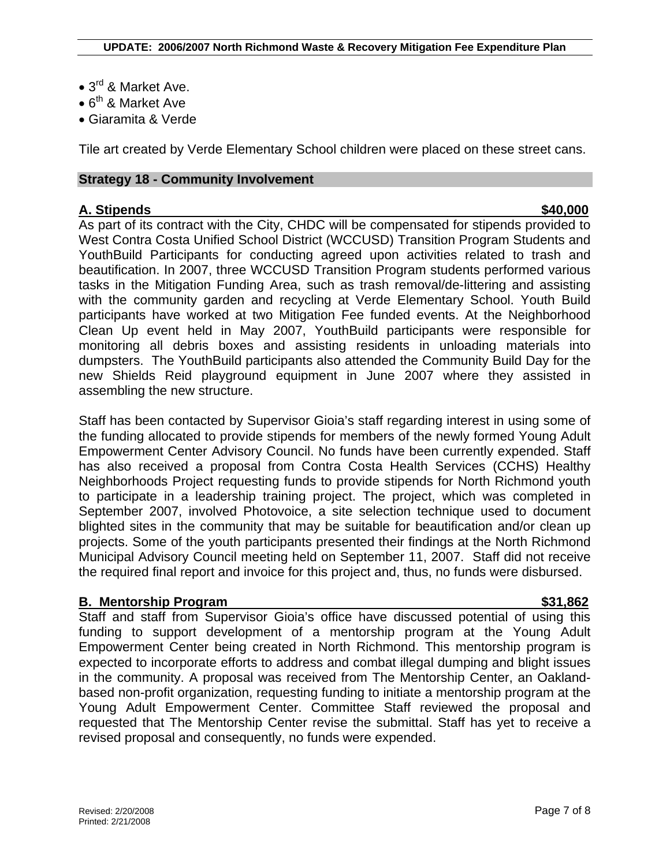- 3<sup>rd</sup> & Market Ave.
- $6^{th}$  & Market Ave
- Giaramita & Verde

Tile art created by Verde Elementary School children were placed on these street cans.

## **Strategy 18 - Community Involvement**

## **A. Stipends \$40,000**

As part of its contract with the City, CHDC will be compensated for stipends provided to West Contra Costa Unified School District (WCCUSD) Transition Program Students and YouthBuild Participants for conducting agreed upon activities related to trash and beautification. In 2007, three WCCUSD Transition Program students performed various tasks in the Mitigation Funding Area, such as trash removal/de-littering and assisting with the community garden and recycling at Verde Elementary School. Youth Build participants have worked at two Mitigation Fee funded events. At the Neighborhood Clean Up event held in May 2007, YouthBuild participants were responsible for monitoring all debris boxes and assisting residents in unloading materials into dumpsters. The YouthBuild participants also attended the Community Build Day for the new Shields Reid playground equipment in June 2007 where they assisted in assembling the new structure.

Staff has been contacted by Supervisor Gioia's staff regarding interest in using some of the funding allocated to provide stipends for members of the newly formed Young Adult Empowerment Center Advisory Council. No funds have been currently expended. Staff has also received a proposal from Contra Costa Health Services (CCHS) Healthy Neighborhoods Project requesting funds to provide stipends for North Richmond youth to participate in a leadership training project. The project, which was completed in September 2007, involved Photovoice, a site selection technique used to document blighted sites in the community that may be suitable for beautification and/or clean up projects. Some of the youth participants presented their findings at the North Richmond Municipal Advisory Council meeting held on September 11, 2007. Staff did not receive the required final report and invoice for this project and, thus, no funds were disbursed.

## **B. Mentorship Program 631,862**

Staff and staff from Supervisor Gioia's office have discussed potential of using this funding to support development of a mentorship program at the Young Adult Empowerment Center being created in North Richmond. This mentorship program is expected to incorporate efforts to address and combat illegal dumping and blight issues in the community. A proposal was received from The Mentorship Center, an Oaklandbased non-profit organization, requesting funding to initiate a mentorship program at the Young Adult Empowerment Center. Committee Staff reviewed the proposal and requested that The Mentorship Center revise the submittal. Staff has yet to receive a revised proposal and consequently, no funds were expended.